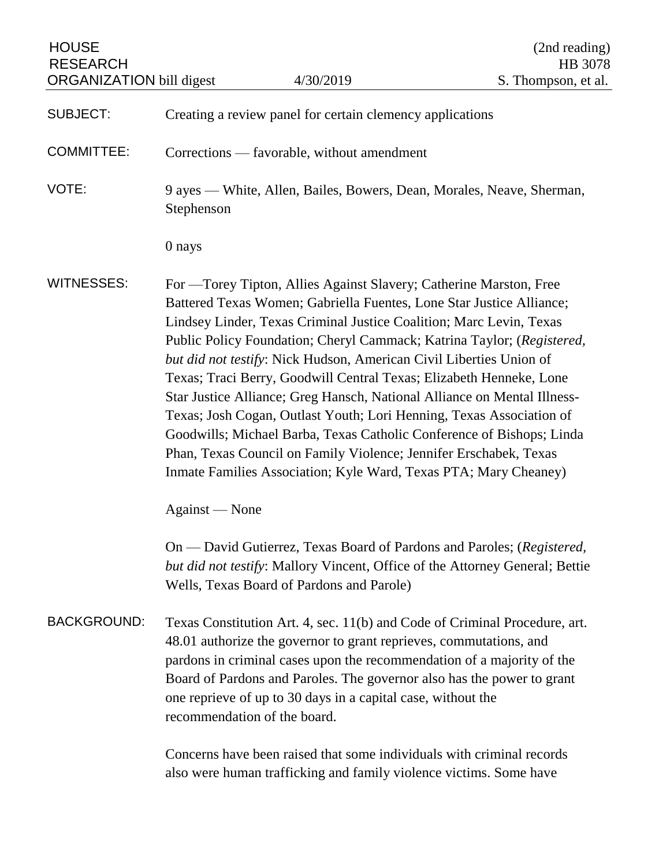| <b>HOUSE</b><br><b>RESEARCH</b> |                                                                                                                                                                                                                                                                                                                                                                                                                                                                                                                                                                                                                                                                                                                                                                                                                  |                                                                                                                                             | (2nd reading)<br>HB 3078                                                     |
|---------------------------------|------------------------------------------------------------------------------------------------------------------------------------------------------------------------------------------------------------------------------------------------------------------------------------------------------------------------------------------------------------------------------------------------------------------------------------------------------------------------------------------------------------------------------------------------------------------------------------------------------------------------------------------------------------------------------------------------------------------------------------------------------------------------------------------------------------------|---------------------------------------------------------------------------------------------------------------------------------------------|------------------------------------------------------------------------------|
| <b>ORGANIZATION bill digest</b> |                                                                                                                                                                                                                                                                                                                                                                                                                                                                                                                                                                                                                                                                                                                                                                                                                  | 4/30/2019                                                                                                                                   | S. Thompson, et al.                                                          |
| <b>SUBJECT:</b>                 |                                                                                                                                                                                                                                                                                                                                                                                                                                                                                                                                                                                                                                                                                                                                                                                                                  | Creating a review panel for certain clemency applications                                                                                   |                                                                              |
| <b>COMMITTEE:</b>               | Corrections — favorable, without amendment                                                                                                                                                                                                                                                                                                                                                                                                                                                                                                                                                                                                                                                                                                                                                                       |                                                                                                                                             |                                                                              |
| VOTE:                           | 9 ayes — White, Allen, Bailes, Bowers, Dean, Morales, Neave, Sherman,<br>Stephenson                                                                                                                                                                                                                                                                                                                                                                                                                                                                                                                                                                                                                                                                                                                              |                                                                                                                                             |                                                                              |
|                                 | 0 nays                                                                                                                                                                                                                                                                                                                                                                                                                                                                                                                                                                                                                                                                                                                                                                                                           |                                                                                                                                             |                                                                              |
| <b>WITNESSES:</b>               | For — Torey Tipton, Allies Against Slavery; Catherine Marston, Free<br>Battered Texas Women; Gabriella Fuentes, Lone Star Justice Alliance;<br>Lindsey Linder, Texas Criminal Justice Coalition; Marc Levin, Texas<br>Public Policy Foundation; Cheryl Cammack; Katrina Taylor; (Registered,<br>but did not testify: Nick Hudson, American Civil Liberties Union of<br>Texas; Traci Berry, Goodwill Central Texas; Elizabeth Henneke, Lone<br>Star Justice Alliance; Greg Hansch, National Alliance on Mental Illness-<br>Texas; Josh Cogan, Outlast Youth; Lori Henning, Texas Association of<br>Goodwills; Michael Barba, Texas Catholic Conference of Bishops; Linda<br>Phan, Texas Council on Family Violence; Jennifer Erschabek, Texas<br>Inmate Families Association; Kyle Ward, Texas PTA; Mary Cheaney) |                                                                                                                                             |                                                                              |
|                                 | Against — None                                                                                                                                                                                                                                                                                                                                                                                                                                                                                                                                                                                                                                                                                                                                                                                                   |                                                                                                                                             |                                                                              |
|                                 |                                                                                                                                                                                                                                                                                                                                                                                                                                                                                                                                                                                                                                                                                                                                                                                                                  | On — David Gutierrez, Texas Board of Pardons and Paroles; (Registered,<br>Wells, Texas Board of Pardons and Parole)                         | but did not testify: Mallory Vincent, Office of the Attorney General; Bettie |
| <b>BACKGROUND:</b>              | Texas Constitution Art. 4, sec. 11(b) and Code of Criminal Procedure, art.<br>48.01 authorize the governor to grant reprieves, commutations, and<br>pardons in criminal cases upon the recommendation of a majority of the<br>Board of Pardons and Paroles. The governor also has the power to grant<br>one reprieve of up to 30 days in a capital case, without the<br>recommendation of the board.                                                                                                                                                                                                                                                                                                                                                                                                             |                                                                                                                                             |                                                                              |
|                                 |                                                                                                                                                                                                                                                                                                                                                                                                                                                                                                                                                                                                                                                                                                                                                                                                                  | Concerns have been raised that some individuals with criminal records<br>also were human trafficking and family violence victims. Some have |                                                                              |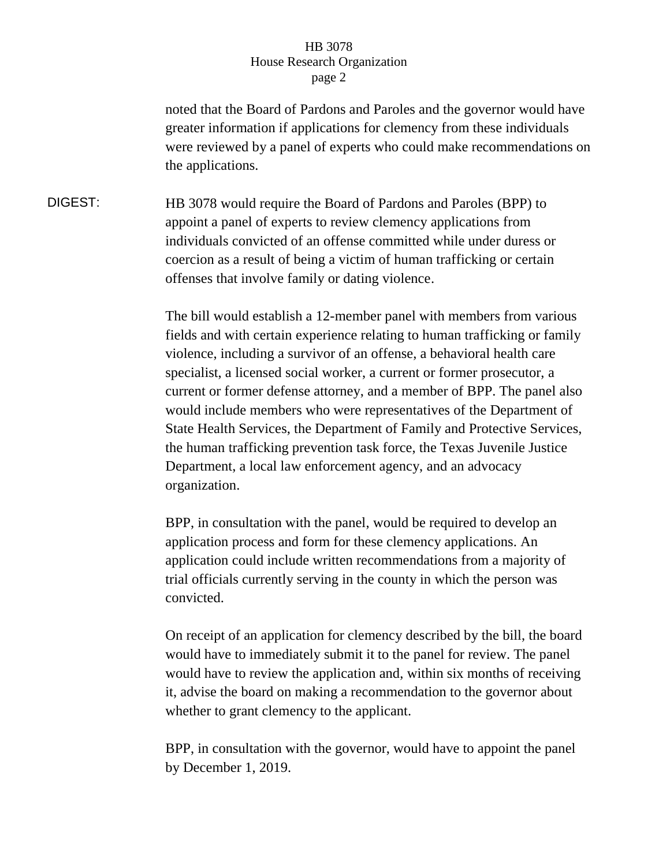## HB 3078 House Research Organization page 2

noted that the Board of Pardons and Paroles and the governor would have greater information if applications for clemency from these individuals were reviewed by a panel of experts who could make recommendations on the applications.

DIGEST: HB 3078 would require the Board of Pardons and Paroles (BPP) to appoint a panel of experts to review clemency applications from individuals convicted of an offense committed while under duress or coercion as a result of being a victim of human trafficking or certain offenses that involve family or dating violence.

> The bill would establish a 12-member panel with members from various fields and with certain experience relating to human trafficking or family violence, including a survivor of an offense, a behavioral health care specialist, a licensed social worker, a current or former prosecutor, a current or former defense attorney, and a member of BPP. The panel also would include members who were representatives of the Department of State Health Services, the Department of Family and Protective Services, the human trafficking prevention task force, the Texas Juvenile Justice Department, a local law enforcement agency, and an advocacy organization.

BPP, in consultation with the panel, would be required to develop an application process and form for these clemency applications. An application could include written recommendations from a majority of trial officials currently serving in the county in which the person was convicted.

On receipt of an application for clemency described by the bill, the board would have to immediately submit it to the panel for review. The panel would have to review the application and, within six months of receiving it, advise the board on making a recommendation to the governor about whether to grant clemency to the applicant.

BPP, in consultation with the governor, would have to appoint the panel by December 1, 2019.